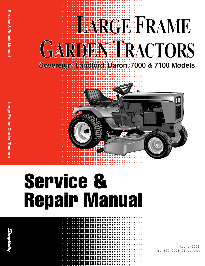

## **Service & Repair Manual**

Rev 4/2001 TP 500-0973-01-SV-SMA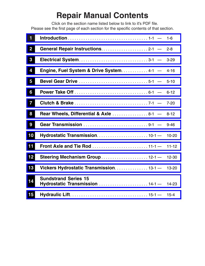## **Repair Manual Contents**

Click on the section name listed below to link to it's PDF file. Please see the first page of each section for the specific contents of that section.

| $\blacksquare$          |                                                                                     | $1-6$     |
|-------------------------|-------------------------------------------------------------------------------------|-----------|
| $\overline{\mathbf{2}}$ | General Repair Instructions2-1 -                                                    | $2 - 8$   |
| $\boldsymbol{3}$        |                                                                                     | $3 - 29$  |
| 4                       | Engine, Fuel System & Drive System4-1 -                                             | $4 - 16$  |
| 5                       |                                                                                     | $5 - 10$  |
| 6                       |                                                                                     | $6 - 12$  |
| 7                       |                                                                                     | $7 - 20$  |
| 8                       | <b>Rear Wheels, Differential &amp; Axle</b> 8-1 -                                   | $8 - 12$  |
| 9                       | Gear Transmission $\ldots \ldots \ldots \ldots \ldots \ldots \ldots \ldots$ 9-1 $-$ | $9 - 46$  |
| 10                      |                                                                                     | 10-20     |
| 11                      |                                                                                     | $11 - 12$ |
| 12                      | Steering Mechanism Group  12-1-                                                     | 12-30     |
| 13                      | Vickers Hydrostatic Transmission13-1-                                               | 13-20     |
| 14                      | <b>Sundstrand Series 15</b><br>Hydrostatic Transmission  14-1-                      | 14-23     |
| 15                      |                                                                                     | $15 - 4$  |